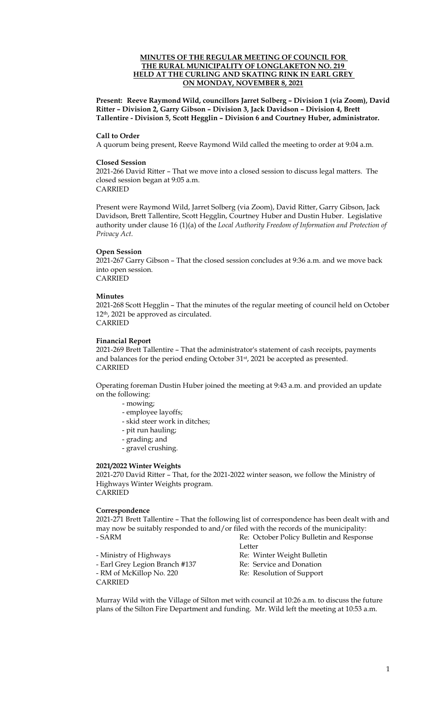# **MINUTES OF THE REGULAR MEETING OF COUNCIL FOR THE RURAL MUNICIPALITY OF LONGLAKETON NO. 219 HELD AT THE CURLING AND SKATING RINK IN EARL GREY ON MONDAY, NOVEMBER 8, 2021**

**Present: Reeve Raymond Wild, councillors Jarret Solberg – Division 1 (via Zoom), David Ritter – Division 2, Garry Gibson – Division 3, Jack Davidson – Division 4, Brett Tallentire - Division 5, Scott Hegglin – Division 6 and Courtney Huber, administrator.**

#### **Call to Order**

A quorum being present, Reeve Raymond Wild called the meeting to order at 9:04 a.m.

# **Closed Session**

2021-266 David Ritter – That we move into a closed session to discuss legal matters. The closed session began at 9:05 a.m. CARRIED

Present were Raymond Wild, Jarret Solberg (via Zoom), David Ritter, Garry Gibson, Jack Davidson, Brett Tallentire, Scott Hegglin, Courtney Huber and Dustin Huber. Legislative authority under clause 16 (1)(a) of the *Local Authority Freedom of Information and Protection of Privacy Act*.

# **Open Session**

2021-267 Garry Gibson – That the closed session concludes at 9:36 a.m. and we move back into open session. CARRIED

# **Minutes**

2021-268 Scott Hegglin – That the minutes of the regular meeting of council held on October 12th, 2021 be approved as circulated. CARRIED

# **Financial Report**

2021-269 Brett Tallentire – That the administrator's statement of cash receipts, payments and balances for the period ending October 31<sup>st</sup>, 2021 be accepted as presented. CARRIED

Operating foreman Dustin Huber joined the meeting at 9:43 a.m. and provided an update on the following:

- mowing;
	- employee layoffs;
	- skid steer work in ditches;
	- pit run hauling;
	- grading; and
	- gravel crushing.

#### **2021/2022 Winter Weights**

2021-270 David Ritter – That, for the 2021-2022 winter season, we follow the Ministry of Highways Winter Weights program. CARRIED

#### **Correspondence**

2021-271 Brett Tallentire – That the following list of correspondence has been dealt with and may now be suitably responded to and/or filed with the records of the municipality: - SARM Re: October Policy Bulletin and Response

- Ministry of Highways Re: Winter Weight Bulletin - Earl Grey Legion Branch #137 Re: Service and Donation - RM of McKillop No. 220 Re: Resolution of Support CARRIED

Letter

Murray Wild with the Village of Silton met with council at 10:26 a.m. to discuss the future plans of the Silton Fire Department and funding. Mr. Wild left the meeting at 10:53 a.m.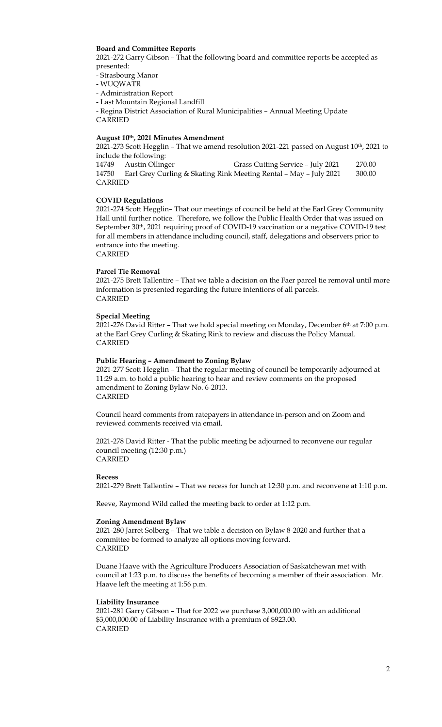# **Board and Committee Reports**

2021-272 Garry Gibson – That the following board and committee reports be accepted as presented:

- Strasbourg Manor

- WUQWATR
- Administration Report

- Last Mountain Regional Landfill

- Regina District Association of Rural Municipalities – Annual Meeting Update CARRIED

# **August 10th, 2021 Minutes Amendment**

 $2021-273$  Scott Hegglin – That we amend resolution 2021-221 passed on August  $10<sup>th</sup>$ , 2021 to include the following:

| 14749   | Austin Ollinger | Grass Cutting Service - July 2021                                 | 270.00 |
|---------|-----------------|-------------------------------------------------------------------|--------|
| 14750   |                 | Earl Grey Curling & Skating Rink Meeting Rental – May – July 2021 | 300.00 |
| CARRIED |                 |                                                                   |        |

#### **COVID Regulations**

2021-274 Scott Hegglin– That our meetings of council be held at the Earl Grey Community Hall until further notice. Therefore, we follow the Public Health Order that was issued on September 30<sup>th</sup>, 2021 requiring proof of COVID-19 vaccination or a negative COVID-19 test for all members in attendance including council, staff, delegations and observers prior to entrance into the meeting.

CARRIED

### **Parcel Tie Removal**

2021-275 Brett Tallentire – That we table a decision on the Faer parcel tie removal until more information is presented regarding the future intentions of all parcels. CARRIED

#### **Special Meeting**

2021-276 David Ritter - That we hold special meeting on Monday, December 6<sup>th</sup> at 7:00 p.m. at the Earl Grey Curling & Skating Rink to review and discuss the Policy Manual. CARRIED

# **Public Hearing – Amendment to Zoning Bylaw**

2021-277 Scott Hegglin – That the regular meeting of council be temporarily adjourned at 11:29 a.m. to hold a public hearing to hear and review comments on the proposed amendment to Zoning Bylaw No. 6-2013. CARRIED

Council heard comments from ratepayers in attendance in-person and on Zoom and reviewed comments received via email.

2021-278 David Ritter - That the public meeting be adjourned to reconvene our regular council meeting (12:30 p.m.) CARRIED

#### **Recess**

2021-279 Brett Tallentire – That we recess for lunch at 12:30 p.m. and reconvene at 1:10 p.m.

Reeve, Raymond Wild called the meeting back to order at 1:12 p.m.

#### **Zoning Amendment Bylaw**

2021-280 Jarret Solberg – That we table a decision on Bylaw 8-2020 and further that a committee be formed to analyze all options moving forward. CARRIED

Duane Haave with the Agriculture Producers Association of Saskatchewan met with council at 1:23 p.m. to discuss the benefits of becoming a member of their association. Mr. Haave left the meeting at 1:56 p.m.

#### **Liability Insurance**

2021-281 Garry Gibson – That for 2022 we purchase 3,000,000.00 with an additional \$3,000,000.00 of Liability Insurance with a premium of \$923.00. CARRIED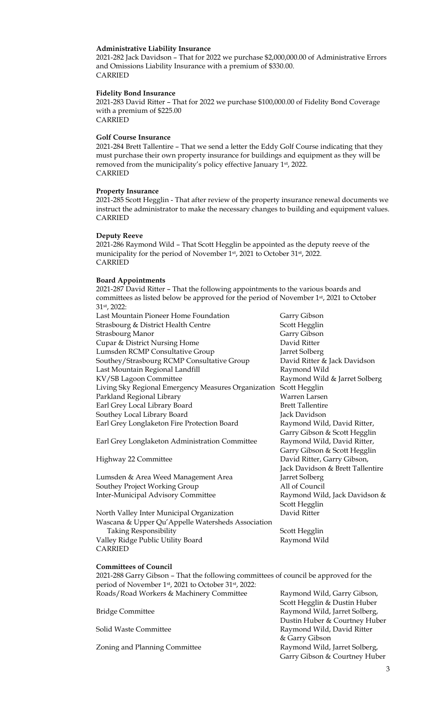# **Administrative Liability Insurance**

2021-282 Jack Davidson – That for 2022 we purchase \$2,000,000.00 of Administrative Errors and Omissions Liability Insurance with a premium of \$330.00. CARRIED

#### **Fidelity Bond Insurance**

2021-283 David Ritter – That for 2022 we purchase \$100,000.00 of Fidelity Bond Coverage with a premium of \$225.00 **CARRIED** 

#### **Golf Course Insurance**

2021-284 Brett Tallentire – That we send a letter the Eddy Golf Course indicating that they must purchase their own property insurance for buildings and equipment as they will be removed from the municipality's policy effective January 1st, 2022. CARRIED

#### **Property Insurance**

2021-285 Scott Hegglin - That after review of the property insurance renewal documents we instruct the administrator to make the necessary changes to building and equipment values. CARRIED

### **Deputy Reeve**

2021-286 Raymond Wild – That Scott Hegglin be appointed as the deputy reeve of the municipality for the period of November 1st, 2021 to October 31st, 2022. CARRIED

#### **Board Appointments**

2021-287 David Ritter – That the following appointments to the various boards and committees as listed below be approved for the period of November 1st, 2021 to October 31st, 2022:

| Scott Hegglin<br>Garry Gibson<br><b>Strasbourg Manor</b><br>David Ritter<br>Jarret Solberg<br>David Ritter & Jack Davidson<br>Last Mountain Regional Landfill<br>Raymond Wild<br>Raymond Wild & Jarret Solberg<br>Scott Hegglin<br>Warren Larsen<br><b>Brett Tallentire</b><br>Southey Local Library Board<br>Jack Davidson<br>Raymond Wild, David Ritter,<br>Garry Gibson & Scott Hegglin<br>Raymond Wild, David Ritter,<br>Earl Grey Longlaketon Administration Committee<br>Garry Gibson & Scott Hegglin<br>David Ritter, Garry Gibson,<br>Jack Davidson & Brett Tallentire<br>Jarret Solberg<br>Lumsden & Area Weed Management Area<br>All of Council<br>Southey Project Working Group<br>Raymond Wild, Jack Davidson &<br>Scott Hegglin<br>David Ritter<br><b>Taking Responsibility</b><br>Scott Hegglin<br>Raymond Wild<br><b>Committees of Council</b><br>2021-288 Garry Gibson - That the following committees of council be approved for the<br>period of November 1st, 2021 to October 31st, 2022:<br>Roads/Road Workers & Machinery Committee<br>Raymond Wild, Garry Gibson,<br>Scott Hegglin & Dustin Huber<br>Raymond Wild, Jarret Solberg,<br><b>Bridge Committee</b><br>Dustin Huber & Courtney Huber<br>Solid Waste Committee<br>Raymond Wild, David Ritter | Last Mountain Pioneer Home Foundation               | Garry Gibson |
|-----------------------------------------------------------------------------------------------------------------------------------------------------------------------------------------------------------------------------------------------------------------------------------------------------------------------------------------------------------------------------------------------------------------------------------------------------------------------------------------------------------------------------------------------------------------------------------------------------------------------------------------------------------------------------------------------------------------------------------------------------------------------------------------------------------------------------------------------------------------------------------------------------------------------------------------------------------------------------------------------------------------------------------------------------------------------------------------------------------------------------------------------------------------------------------------------------------------------------------------------------------------------------|-----------------------------------------------------|--------------|
|                                                                                                                                                                                                                                                                                                                                                                                                                                                                                                                                                                                                                                                                                                                                                                                                                                                                                                                                                                                                                                                                                                                                                                                                                                                                             | Strasbourg & District Health Centre                 |              |
|                                                                                                                                                                                                                                                                                                                                                                                                                                                                                                                                                                                                                                                                                                                                                                                                                                                                                                                                                                                                                                                                                                                                                                                                                                                                             |                                                     |              |
|                                                                                                                                                                                                                                                                                                                                                                                                                                                                                                                                                                                                                                                                                                                                                                                                                                                                                                                                                                                                                                                                                                                                                                                                                                                                             | Cupar & District Nursing Home                       |              |
|                                                                                                                                                                                                                                                                                                                                                                                                                                                                                                                                                                                                                                                                                                                                                                                                                                                                                                                                                                                                                                                                                                                                                                                                                                                                             | Lumsden RCMP Consultative Group                     |              |
|                                                                                                                                                                                                                                                                                                                                                                                                                                                                                                                                                                                                                                                                                                                                                                                                                                                                                                                                                                                                                                                                                                                                                                                                                                                                             | Southey/Strasbourg RCMP Consultative Group          |              |
|                                                                                                                                                                                                                                                                                                                                                                                                                                                                                                                                                                                                                                                                                                                                                                                                                                                                                                                                                                                                                                                                                                                                                                                                                                                                             |                                                     |              |
|                                                                                                                                                                                                                                                                                                                                                                                                                                                                                                                                                                                                                                                                                                                                                                                                                                                                                                                                                                                                                                                                                                                                                                                                                                                                             | KV/SB Lagoon Committee                              |              |
|                                                                                                                                                                                                                                                                                                                                                                                                                                                                                                                                                                                                                                                                                                                                                                                                                                                                                                                                                                                                                                                                                                                                                                                                                                                                             | Living Sky Regional Emergency Measures Organization |              |
|                                                                                                                                                                                                                                                                                                                                                                                                                                                                                                                                                                                                                                                                                                                                                                                                                                                                                                                                                                                                                                                                                                                                                                                                                                                                             | Parkland Regional Library                           |              |
|                                                                                                                                                                                                                                                                                                                                                                                                                                                                                                                                                                                                                                                                                                                                                                                                                                                                                                                                                                                                                                                                                                                                                                                                                                                                             | Earl Grey Local Library Board                       |              |
|                                                                                                                                                                                                                                                                                                                                                                                                                                                                                                                                                                                                                                                                                                                                                                                                                                                                                                                                                                                                                                                                                                                                                                                                                                                                             |                                                     |              |
|                                                                                                                                                                                                                                                                                                                                                                                                                                                                                                                                                                                                                                                                                                                                                                                                                                                                                                                                                                                                                                                                                                                                                                                                                                                                             | Earl Grey Longlaketon Fire Protection Board         |              |
|                                                                                                                                                                                                                                                                                                                                                                                                                                                                                                                                                                                                                                                                                                                                                                                                                                                                                                                                                                                                                                                                                                                                                                                                                                                                             |                                                     |              |
|                                                                                                                                                                                                                                                                                                                                                                                                                                                                                                                                                                                                                                                                                                                                                                                                                                                                                                                                                                                                                                                                                                                                                                                                                                                                             |                                                     |              |
|                                                                                                                                                                                                                                                                                                                                                                                                                                                                                                                                                                                                                                                                                                                                                                                                                                                                                                                                                                                                                                                                                                                                                                                                                                                                             |                                                     |              |
|                                                                                                                                                                                                                                                                                                                                                                                                                                                                                                                                                                                                                                                                                                                                                                                                                                                                                                                                                                                                                                                                                                                                                                                                                                                                             | Highway 22 Committee                                |              |
|                                                                                                                                                                                                                                                                                                                                                                                                                                                                                                                                                                                                                                                                                                                                                                                                                                                                                                                                                                                                                                                                                                                                                                                                                                                                             |                                                     |              |
|                                                                                                                                                                                                                                                                                                                                                                                                                                                                                                                                                                                                                                                                                                                                                                                                                                                                                                                                                                                                                                                                                                                                                                                                                                                                             |                                                     |              |
|                                                                                                                                                                                                                                                                                                                                                                                                                                                                                                                                                                                                                                                                                                                                                                                                                                                                                                                                                                                                                                                                                                                                                                                                                                                                             |                                                     |              |
|                                                                                                                                                                                                                                                                                                                                                                                                                                                                                                                                                                                                                                                                                                                                                                                                                                                                                                                                                                                                                                                                                                                                                                                                                                                                             | Inter-Municipal Advisory Committee                  |              |
|                                                                                                                                                                                                                                                                                                                                                                                                                                                                                                                                                                                                                                                                                                                                                                                                                                                                                                                                                                                                                                                                                                                                                                                                                                                                             |                                                     |              |
|                                                                                                                                                                                                                                                                                                                                                                                                                                                                                                                                                                                                                                                                                                                                                                                                                                                                                                                                                                                                                                                                                                                                                                                                                                                                             | North Valley Inter Municipal Organization           |              |
|                                                                                                                                                                                                                                                                                                                                                                                                                                                                                                                                                                                                                                                                                                                                                                                                                                                                                                                                                                                                                                                                                                                                                                                                                                                                             | Wascana & Upper Qu'Appelle Watersheds Association   |              |
|                                                                                                                                                                                                                                                                                                                                                                                                                                                                                                                                                                                                                                                                                                                                                                                                                                                                                                                                                                                                                                                                                                                                                                                                                                                                             |                                                     |              |
|                                                                                                                                                                                                                                                                                                                                                                                                                                                                                                                                                                                                                                                                                                                                                                                                                                                                                                                                                                                                                                                                                                                                                                                                                                                                             | Valley Ridge Public Utility Board                   |              |
|                                                                                                                                                                                                                                                                                                                                                                                                                                                                                                                                                                                                                                                                                                                                                                                                                                                                                                                                                                                                                                                                                                                                                                                                                                                                             | <b>CARRIED</b>                                      |              |
|                                                                                                                                                                                                                                                                                                                                                                                                                                                                                                                                                                                                                                                                                                                                                                                                                                                                                                                                                                                                                                                                                                                                                                                                                                                                             |                                                     |              |
|                                                                                                                                                                                                                                                                                                                                                                                                                                                                                                                                                                                                                                                                                                                                                                                                                                                                                                                                                                                                                                                                                                                                                                                                                                                                             |                                                     |              |
|                                                                                                                                                                                                                                                                                                                                                                                                                                                                                                                                                                                                                                                                                                                                                                                                                                                                                                                                                                                                                                                                                                                                                                                                                                                                             |                                                     |              |
|                                                                                                                                                                                                                                                                                                                                                                                                                                                                                                                                                                                                                                                                                                                                                                                                                                                                                                                                                                                                                                                                                                                                                                                                                                                                             |                                                     |              |
|                                                                                                                                                                                                                                                                                                                                                                                                                                                                                                                                                                                                                                                                                                                                                                                                                                                                                                                                                                                                                                                                                                                                                                                                                                                                             |                                                     |              |
|                                                                                                                                                                                                                                                                                                                                                                                                                                                                                                                                                                                                                                                                                                                                                                                                                                                                                                                                                                                                                                                                                                                                                                                                                                                                             |                                                     |              |
|                                                                                                                                                                                                                                                                                                                                                                                                                                                                                                                                                                                                                                                                                                                                                                                                                                                                                                                                                                                                                                                                                                                                                                                                                                                                             |                                                     |              |
|                                                                                                                                                                                                                                                                                                                                                                                                                                                                                                                                                                                                                                                                                                                                                                                                                                                                                                                                                                                                                                                                                                                                                                                                                                                                             |                                                     |              |
| & Garry Gibson                                                                                                                                                                                                                                                                                                                                                                                                                                                                                                                                                                                                                                                                                                                                                                                                                                                                                                                                                                                                                                                                                                                                                                                                                                                              |                                                     |              |
| Raymond Wild, Jarret Solberg,                                                                                                                                                                                                                                                                                                                                                                                                                                                                                                                                                                                                                                                                                                                                                                                                                                                                                                                                                                                                                                                                                                                                                                                                                                               | Zoning and Planning Committee                       |              |

Garry Gibson & Courtney Huber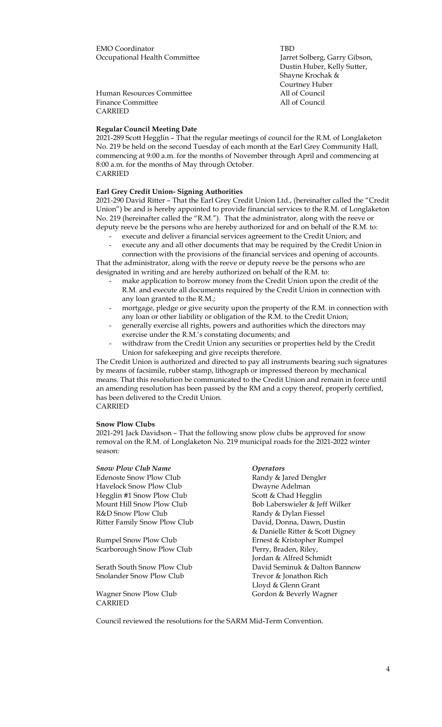EMO Coordinator TBD Occupational Health Committee Jarret Solberg, Garry Gibson, Dustin Huber, Kelly Sutter, Shayne Krochak & Courtney Huber Human Resources Committee All of Council Finance Committee **All of Council** CARRIED

### **Regular Council Meeting Date**

2021-289 Scott Hegglin – That the regular meetings of council for the R.M. of Longlaketon No. 219 be held on the second Tuesday of each month at the Earl Grey Community Hall, commencing at 9:00 a.m. for the months of November through April and commencing at 8:00 a.m. for the months of May through October. CARRIED

#### **Earl Grey Credit Union- Signing Authorities**

2021-290 David Ritter – That the Earl Grey Credit Union Ltd., (hereinafter called the "Credit Union") be and is hereby appointed to provide financial services to the R.M. of Longlaketon No. 219 (hereinafter called the "R.M."). That the administrator, along with the reeve or deputy reeve be the persons who are hereby authorized for and on behalf of the R.M. to:

- execute and deliver a financial services agreement to the Credit Union; and execute any and all other documents that may be required by the Credit Union in

connection with the provisions of the financial services and opening of accounts. That the administrator, along with the reeve or deputy reeve be the persons who are designated in writing and are hereby authorized on behalf of the R.M. to:

- make application to borrow money from the Credit Union upon the credit of the R.M. and execute all documents required by the Credit Union in connection with any loan granted to the R.M.;
- mortgage, pledge or give security upon the property of the R.M. in connection with any loan or other liability or obligation of the R.M. to the Credit Union;
- generally exercise all rights, powers and authorities which the directors may exercise under the R.M.'s constating documents; and
- withdraw from the Credit Union any securities or properties held by the Credit Union for safekeeping and give receipts therefore.

The Credit Union is authorized and directed to pay all instruments bearing such signatures by means of facsimile, rubber stamp, lithograph or impressed thereon by mechanical means. That this resolution be communicated to the Credit Union and remain in force until an amending resolution has been passed by the RM and a copy thereof, properly certified, has been delivered to the Credit Union. CARRIED

# **Snow Plow Clubs**

2021-291 Jack Davidson – That the following snow plow clubs be approved for snow removal on the R.M. of Longlaketon No. 219 municipal roads for the 2021-2022 winter season:

*Snow Plow Club Name Operators* Edenoste Snow Plow Club Havelock Snow Plow Club Dwayne Adelman Hegglin #1 Snow Plow Club Scott & Chad Hegglin Mount Hill Snow Plow Club Bob Laberswieler & Jeff Wilker R&D Snow Plow Club Randy & Dylan Fiessel Ritter Family Snow Plow Club David, Donna, Dawn, Dustin & Danielle Ritter & Scott Digney Rumpel Snow Plow Club Ernest & Kristopher Rumpel Scarborough Snow Plow Club Perry, Braden, Riley, Jordan & Alfred Schmidt Serath South Snow Plow Club David Seminuk & Dalton Bannow Snolander Snow Plow Club Trevor & Jonathon Rich

CARRIED

Lloyd & Glenn Grant Wagner Snow Plow Club Gordon & Beverly Wagner

Council reviewed the resolutions for the SARM Mid-Term Convention.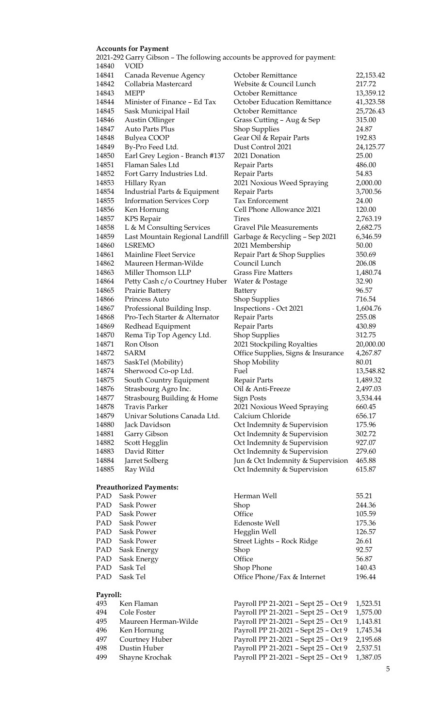# **Accounts for Payment**

PAD Sask Power PAD Sask Power PAD Sask Power PAD Sask Power PAD Sask Power PAD Sask Energy PAD Sask Energy PAD  $Sask$  Tel PAD Sask Tel

**Payroll:**

|       | 2021-292 Garry Gibson – The following accounts be approved for payment: |                                     |           |
|-------|-------------------------------------------------------------------------|-------------------------------------|-----------|
| 14840 | <b>VOID</b>                                                             |                                     |           |
| 14841 | Canada Revenue Agency                                                   | October Remittance                  | 22,153.42 |
| 14842 | Collabria Mastercard                                                    | Website & Council Lunch             | 217.72    |
| 14843 | <b>MEPP</b>                                                             | October Remittance                  | 13,359.12 |
| 14844 | Minister of Finance - Ed Tax                                            | <b>October Education Remittance</b> | 41,323.58 |
| 14845 | Sask Municipal Hail                                                     | October Remittance                  | 25,726.43 |
| 14846 | Austin Ollinger                                                         | Grass Cutting - Aug & Sep           | 315.00    |
| 14847 | Auto Parts Plus                                                         | <b>Shop Supplies</b>                | 24.87     |
| 14848 | Bulyea COOP                                                             | Gear Oil & Repair Parts             | 192.83    |
| 14849 | By-Pro Feed Ltd.                                                        | Dust Control 2021                   | 24,125.77 |
| 14850 | Earl Grey Legion - Branch #137                                          | 2021 Donation                       | 25.00     |
| 14851 | Flaman Sales Ltd                                                        | Repair Parts                        | 486.00    |
| 14852 | Fort Garry Industries Ltd.                                              | Repair Parts                        | 54.83     |
| 14853 | Hillary Ryan                                                            | 2021 Noxious Weed Spraying          | 2,000.00  |
| 14854 | Industrial Parts & Equipment                                            | Repair Parts                        | 3,700.56  |
| 14855 | <b>Information Services Corp</b>                                        | Tax Enforcement                     | 24.00     |
| 14856 | Ken Hornung                                                             | Cell Phone Allowance 2021           | 120.00    |
| 14857 | <b>KPS</b> Repair                                                       | <b>Tires</b>                        | 2,763.19  |
| 14858 | L & M Consulting Services                                               | <b>Gravel Pile Measurements</b>     | 2,682.75  |
| 14859 | Last Mountain Regional Landfill                                         | Garbage & Recycling - Sep 2021      | 6,346.59  |
| 14860 | LSREMO                                                                  | 2021 Membership                     | 50.00     |
| 14861 | Mainline Fleet Service                                                  | Repair Part & Shop Supplies         | 350.69    |
| 14862 | Maureen Herman-Wilde                                                    | Council Lunch                       | 206.08    |
| 14863 | Miller Thomson LLP                                                      | <b>Grass Fire Matters</b>           | 1,480.74  |
| 14864 | Petty Cash c/o Courtney Huber                                           | Water & Postage                     | 32.90     |
| 14865 | Prairie Battery                                                         | Battery                             | 96.57     |
| 14866 | Princess Auto                                                           | Shop Supplies                       | 716.54    |
| 14867 | Professional Building Insp.                                             | Inspections - Oct 2021              | 1,604.76  |
| 14868 | Pro-Tech Starter & Alternator                                           | Repair Parts                        | 255.08    |
| 14869 | Redhead Equipment                                                       | Repair Parts                        | 430.89    |
| 14870 | Rema Tip Top Agency Ltd.                                                | Shop Supplies                       | 312.75    |
| 14871 | Ron Olson                                                               | 2021 Stockpiling Royalties          | 20,000.00 |
| 14872 | <b>SARM</b>                                                             | Office Supplies, Signs & Insurance  | 4,267.87  |
| 14873 | SaskTel (Mobility)                                                      | Shop Mobility                       | 80.01     |
| 14874 | Sherwood Co-op Ltd.                                                     | Fuel                                | 13,548.82 |
| 14875 | South Country Equipment                                                 | Repair Parts                        | 1,489.32  |
| 14876 | Strasbourg Agro Inc.                                                    | Oil & Anti-Freeze                   | 2,497.03  |
| 14877 | Strasbourg Building & Home                                              | <b>Sign Posts</b>                   | 3,534.44  |
| 14878 | Travis Parker                                                           | 2021 Noxious Weed Spraying          | 660.45    |
| 14879 | Univar Solutions Canada Ltd.                                            | Calcium Chloride                    | 656.17    |
| 14880 | Jack Davidson                                                           | Oct Indemnity & Supervision         | 175.96    |
| 14881 | Garry Gibson                                                            | Oct Indemnity & Supervision         | 302.72    |
| 14882 | Scott Hegglin                                                           | Oct Indemnity & Supervision         | 927.07    |
| 14883 | David Ritter                                                            | Oct Indemnity & Supervision         | 279.60    |
| 14884 | Jarret Solberg                                                          | Jun & Oct Indemnity & Supervision   | 465.88    |
| 14885 | Ray Wild                                                                | Oct Indemnity & Supervision         | 615.87    |
|       | <b>Preauthorized Payments:</b>                                          |                                     |           |
| PAD   | Sask Power                                                              | Herman Well                         | 55.21     |

| Herman Well                 | 55.21  |
|-----------------------------|--------|
| Shop                        | 244.36 |
| Office                      | 105.59 |
| Edenoste Well               | 175.36 |
| Hegglin Well                | 126.57 |
| Street Lights - Rock Ridge  | 26.61  |
| Shop                        | 92.57  |
| Office                      | 56.87  |
| Shop Phone                  | 140.43 |
| Office Phone/Fax & Internet | 196.44 |
|                             |        |

# Payroll PP 21-2021 - Sept 25 - Oct 9 1,523.51 494 Cole Foster Payroll PP 21-2021 – Sept 25 – Oct 9 1,575.00 495 Maureen Herman-Wilde Payroll PP 21-2021 – Sept 25 – Oct 9 1,143.81 496 Ken Hornung Payroll PP 21-2021 – Sept 25 – Oct 9 1,745.34 497 Courtney Huber Payroll PP 21-2021 – Sept 25 – Oct 9 2,195.68 498 Dustin Huber Payroll PP 21-2021 – Sept 25 – Oct 9 2,537.51 499 Shayne Krochak Payroll PP 21-2021 – Sept 25 – Oct 9 1,387.05

# 5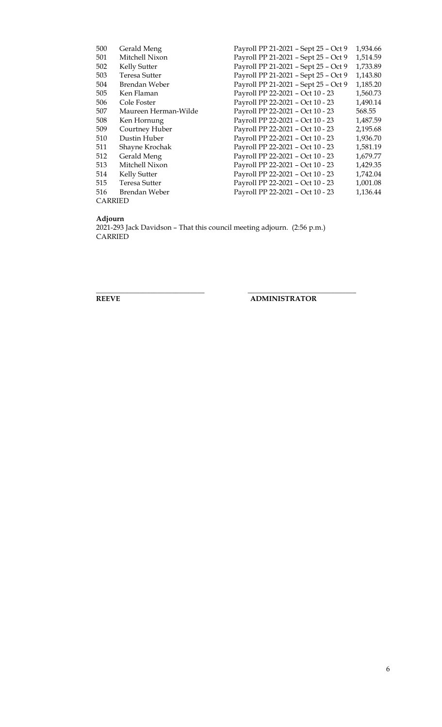| 500            | Gerald Meng          | Payroll PP 21-2021 - Sept 25 - Oct 9 | 1,934.66 |  |
|----------------|----------------------|--------------------------------------|----------|--|
| 501            | Mitchell Nixon       | Payroll PP 21-2021 - Sept 25 - Oct 9 | 1,514.59 |  |
| 502            | Kelly Sutter         | Payroll PP 21-2021 - Sept 25 - Oct 9 | 1,733.89 |  |
| 503            | Teresa Sutter        | Payroll PP 21-2021 - Sept 25 - Oct 9 | 1,143.80 |  |
| 504            | Brendan Weber        | Payroll PP 21-2021 - Sept 25 - Oct 9 | 1,185.20 |  |
| 505            | Ken Flaman           | Payroll PP 22-2021 - Oct 10 - 23     | 1,560.73 |  |
| 506            | Cole Foster          | Payroll PP 22-2021 - Oct 10 - 23     | 1,490.14 |  |
| 507            | Maureen Herman-Wilde | Payroll PP 22-2021 - Oct 10 - 23     | 568.55   |  |
| 508            | Ken Hornung          | Payroll PP 22-2021 - Oct 10 - 23     | 1,487.59 |  |
| 509            | Courtney Huber       | Payroll PP 22-2021 - Oct 10 - 23     | 2,195.68 |  |
| 510            | Dustin Huber         | Payroll PP 22-2021 - Oct 10 - 23     | 1,936.70 |  |
| 511            | Shayne Krochak       | Payroll PP 22-2021 - Oct 10 - 23     | 1,581.19 |  |
| 512            | Gerald Meng          | Payroll PP 22-2021 - Oct 10 - 23     | 1,679.77 |  |
| 513            | Mitchell Nixon       | Payroll PP 22-2021 - Oct 10 - 23     | 1,429.35 |  |
| 514            | Kelly Sutter         | Payroll PP 22-2021 - Oct 10 - 23     | 1,742.04 |  |
| 515            | Teresa Sutter        | Payroll PP 22-2021 - Oct 10 - 23     | 1,001.08 |  |
| 516            | Brendan Weber        | Payroll PP 22-2021 - Oct 10 - 23     | 1,136.44 |  |
| <b>CARRIED</b> |                      |                                      |          |  |

**Adjourn**

2021-293 Jack Davidson – That this council meeting adjourn. (2:56 p.m.) **CARRIED** 

**\_\_\_\_\_\_\_\_\_\_\_\_\_\_\_\_\_\_\_\_\_\_\_\_\_\_\_\_\_\_ \_\_\_\_\_\_\_\_\_\_\_\_\_\_\_\_\_\_\_\_\_\_\_\_\_\_\_\_\_\_**

**REEVE ADMINISTRATOR**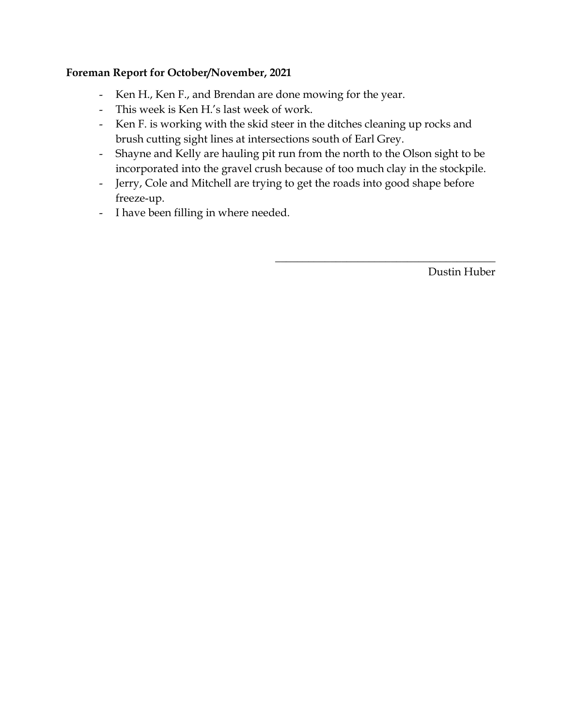# **Foreman Report for October/November, 2021**

- Ken H., Ken F., and Brendan are done mowing for the year.
- This week is Ken H.'s last week of work.
- Ken F. is working with the skid steer in the ditches cleaning up rocks and brush cutting sight lines at intersections south of Earl Grey.
- Shayne and Kelly are hauling pit run from the north to the Olson sight to be incorporated into the gravel crush because of too much clay in the stockpile.
- Jerry, Cole and Mitchell are trying to get the roads into good shape before freeze-up.
- I have been filling in where needed.

Dustin Huber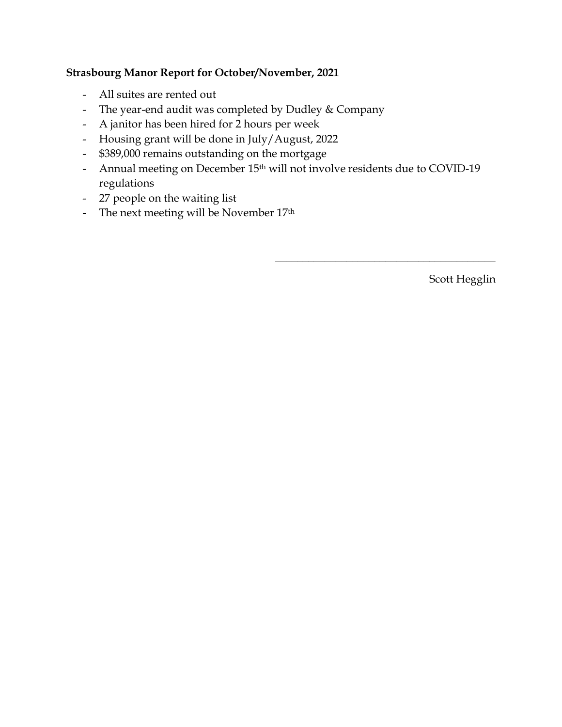# **Strasbourg Manor Report for October/November, 2021**

- All suites are rented out
- The year-end audit was completed by Dudley & Company
- A janitor has been hired for 2 hours per week
- Housing grant will be done in July/August, 2022
- \$389,000 remains outstanding on the mortgage
- Annual meeting on December 15<sup>th</sup> will not involve residents due to COVID-19 regulations
- 27 people on the waiting list
- The next meeting will be November 17<sup>th</sup>

Scott Hegglin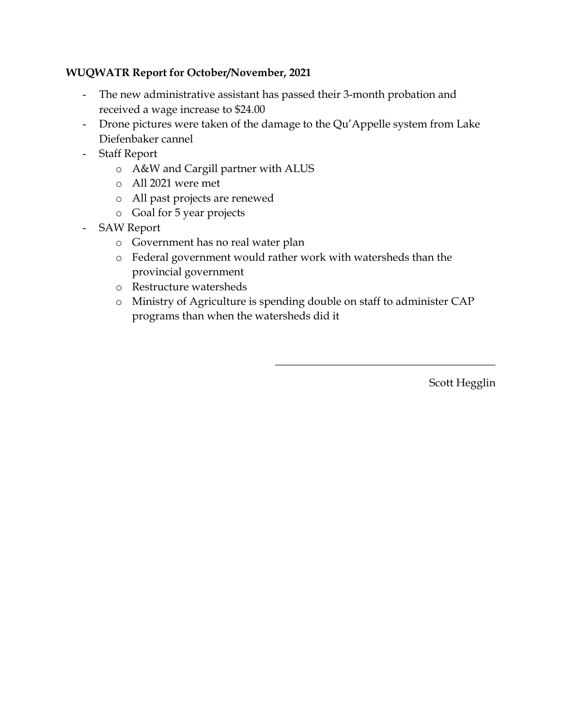# **WUQWATR Report for October/November, 2021**

- The new administrative assistant has passed their 3-month probation and received a wage increase to \$24.00
- Drone pictures were taken of the damage to the Qu'Appelle system from Lake Diefenbaker cannel
- Staff Report
	- o A&W and Cargill partner with ALUS
	- o All 2021 were met
	- o All past projects are renewed
	- o Goal for 5 year projects
- SAW Report
	- o Government has no real water plan
	- o Federal government would rather work with watersheds than the provincial government
	- o Restructure watersheds
	- o Ministry of Agriculture is spending double on staff to administer CAP programs than when the watersheds did it

Scott Hegglin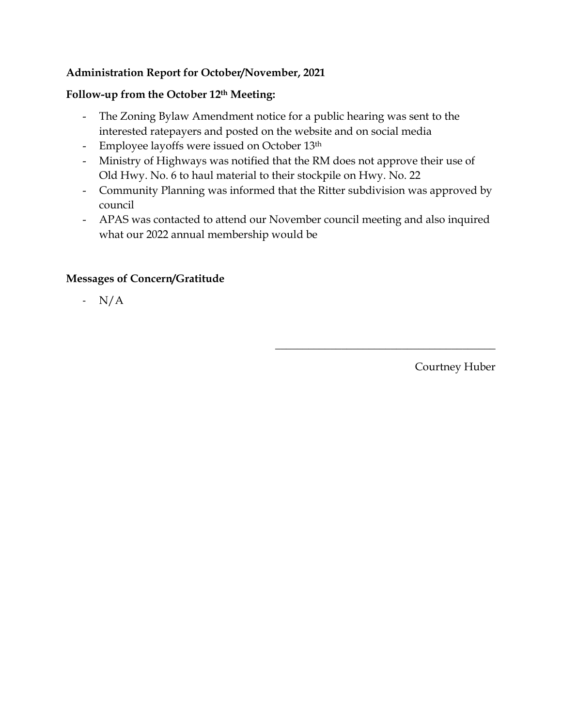# **Administration Report for October/November, 2021**

# **Follow-up from the October 12th Meeting:**

- The Zoning Bylaw Amendment notice for a public hearing was sent to the interested ratepayers and posted on the website and on social media
- Employee layoffs were issued on October 13th
- Ministry of Highways was notified that the RM does not approve their use of Old Hwy. No. 6 to haul material to their stockpile on Hwy. No. 22
- Community Planning was informed that the Ritter subdivision was approved by council
- APAS was contacted to attend our November council meeting and also inquired what our 2022 annual membership would be

# **Messages of Concern/Gratitude**

- N/A

Courtney Huber